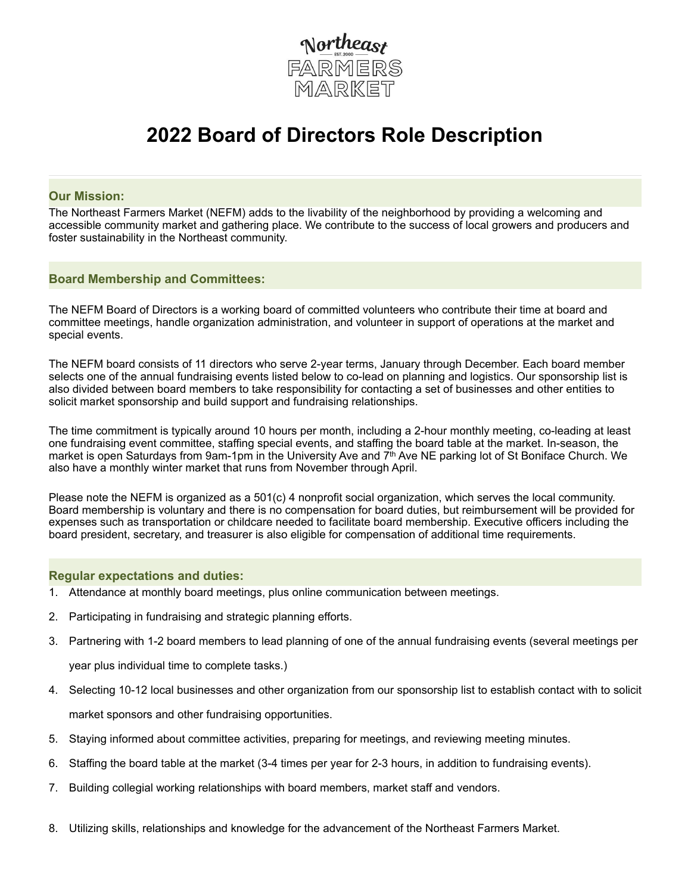

# **2022 Board of Directors Role Description**

### **Our Mission:**

The Northeast Farmers Market (NEFM) adds to the livability of the neighborhood by providing a welcoming and accessible community market and gathering place. We contribute to the success of local growers and producers and foster sustainability in the Northeast community.

### **Board Membership and Committees:**

The NEFM Board of Directors is a working board of committed volunteers who contribute their time at board and committee meetings, handle organization administration, and volunteer in support of operations at the market and special events.

The NEFM board consists of 11 directors who serve 2-year terms, January through December. Each board member selects one of the annual fundraising events listed below to co-lead on planning and logistics. Our sponsorship list is also divided between board members to take responsibility for contacting a set of businesses and other entities to solicit market sponsorship and build support and fundraising relationships.

The time commitment is typically around 10 hours per month, including a 2-hour monthly meeting, co-leading at least one fundraising event committee, staffing special events, and staffing the board table at the market. In-season, the market is open Saturdays from 9am-1pm in the University Ave and 7<sup>th</sup> Ave NE parking lot of St Boniface Church. We also have a monthly winter market that runs from November through April.

Please note the NEFM is organized as a 501(c) 4 nonprofit social organization, which serves the local community. Board membership is voluntary and there is no compensation for board duties, but reimbursement will be provided for expenses such as transportation or childcare needed to facilitate board membership. Executive officers including the board president, secretary, and treasurer is also eligible for compensation of additional time requirements.

#### **Regular expectations and duties:**

- 1. Attendance at monthly board meetings, plus online communication between meetings.
- 2. Participating in fundraising and strategic planning efforts.
- 3. Partnering with 1-2 board members to lead planning of one of the annual fundraising events (several meetings per

year plus individual time to complete tasks.)

- 4. Selecting 10-12 local businesses and other organization from our sponsorship list to establish contact with to solicit market sponsors and other fundraising opportunities.
- 5. Staying informed about committee activities, preparing for meetings, and reviewing meeting minutes.
- 6. Staffing the board table at the market (3-4 times per year for 2-3 hours, in addition to fundraising events).
- 7. Building collegial working relationships with board members, market staff and vendors.
- 8. Utilizing skills, relationships and knowledge for the advancement of the Northeast Farmers Market.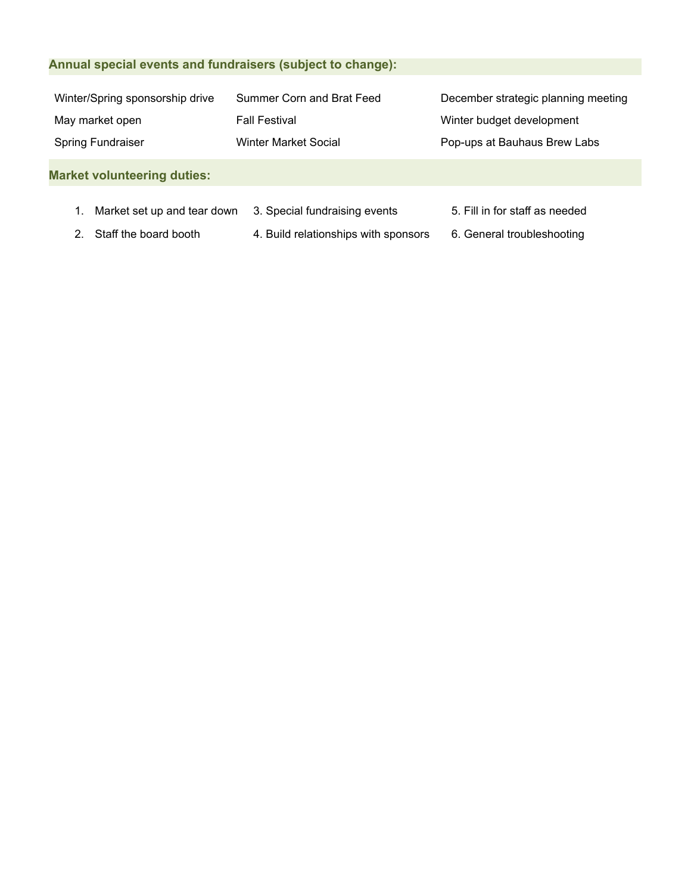# **Annual special events and fundraisers (subject to change):**

| Winter/Spring sponsorship drive | Summer Corn and Brat Feed | December strategic planning meeting |
|---------------------------------|---------------------------|-------------------------------------|
| May market open                 | <b>Fall Festival</b>      | Winter budget development           |
| <b>Spring Fundraiser</b>        | Winter Market Social      | Pop-ups at Bauhaus Brew Labs        |
|                                 |                           |                                     |

## **Market volunteering duties:**

- 1. Market set up and tear down 3. Special fundraising events 5. Fill in for staff as needed
	-
- 

- 
- 2. Staff the board booth 4. Build relationships with sponsors 6. General troubleshooting
	-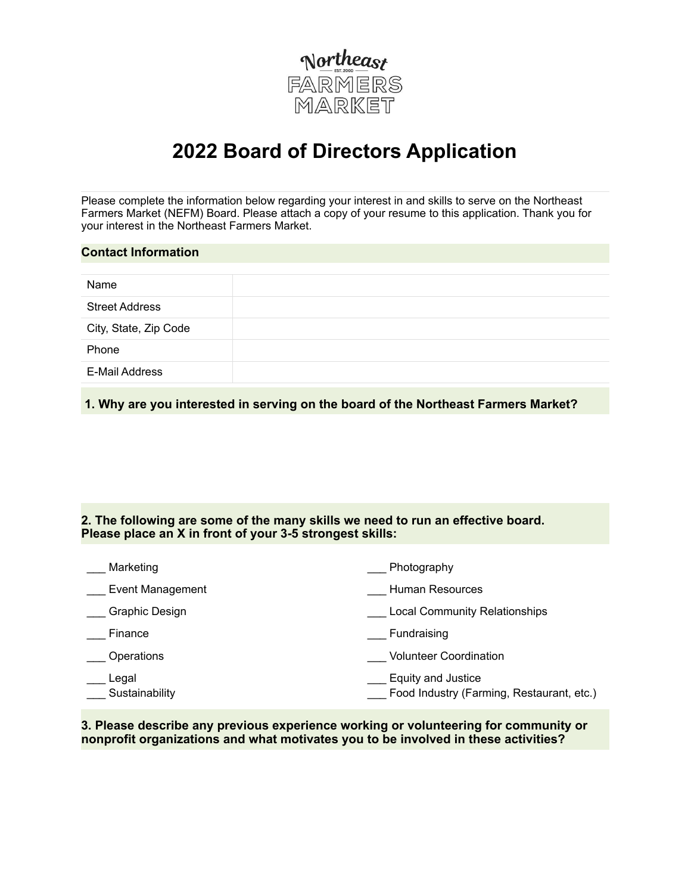

# **2022 Board of Directors Application**

Please complete the information below regarding your interest in and skills to serve on the Northeast Farmers Market (NEFM) Board. Please attach a copy of your resume to this application. Thank you for your interest in the Northeast Farmers Market.

| Name                  | <b>Contact Information</b> |  |  |  |
|-----------------------|----------------------------|--|--|--|
|                       |                            |  |  |  |
|                       |                            |  |  |  |
|                       | <b>Street Address</b>      |  |  |  |
| City, State, Zip Code |                            |  |  |  |
| Phone                 |                            |  |  |  |
| E-Mail Address        |                            |  |  |  |

 **1. Why are you interested in serving on the board of the Northeast Farmers Market?**

## **2. The following are some of the many skills we need to run an effective board. Please place an X in front of your 3-5 strongest skills:**

| Marketing               | Photography                                                     |
|-------------------------|-----------------------------------------------------------------|
| Event Management        | Human Resources                                                 |
| Graphic Design          | <b>Local Community Relationships</b>                            |
| Finance                 | Fundraising                                                     |
| Operations              | <b>Volunteer Coordination</b>                                   |
| Legal<br>Sustainability | Equity and Justice<br>Food Industry (Farming, Restaurant, etc.) |

**3. Please describe any previous experience working or volunteering for community or nonprofit organizations and what motivates you to be involved in these activities?**